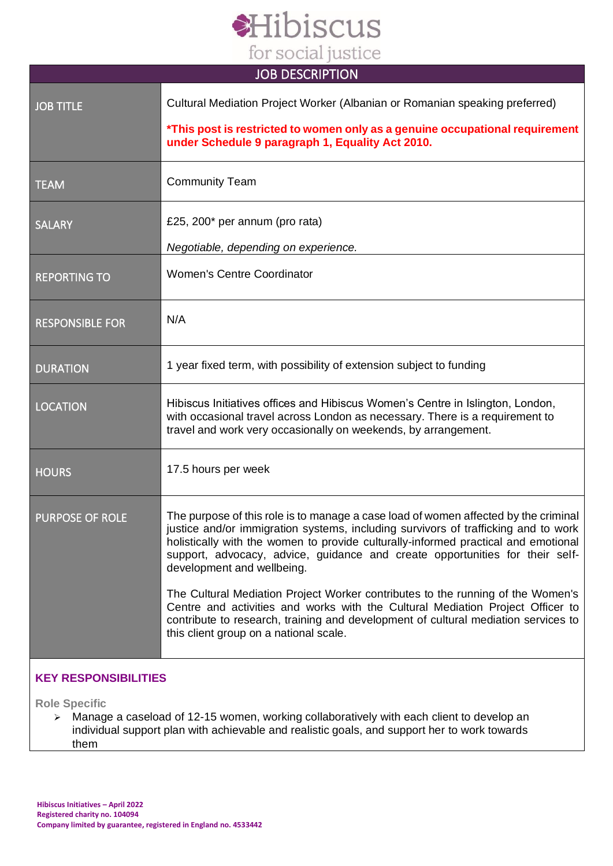# Hibiscus for social justice

| <b>JOB DESCRIPTION</b> |                                                                                                                                                                                                                                                                                                                                                                               |
|------------------------|-------------------------------------------------------------------------------------------------------------------------------------------------------------------------------------------------------------------------------------------------------------------------------------------------------------------------------------------------------------------------------|
| <b>JOB TITLE</b>       | Cultural Mediation Project Worker (Albanian or Romanian speaking preferred)<br>*This post is restricted to women only as a genuine occupational requirement                                                                                                                                                                                                                   |
|                        | under Schedule 9 paragraph 1, Equality Act 2010.                                                                                                                                                                                                                                                                                                                              |
| <b>TEAM</b>            | <b>Community Team</b>                                                                                                                                                                                                                                                                                                                                                         |
| <b>SALARY</b>          | £25, 200* per annum (pro rata)                                                                                                                                                                                                                                                                                                                                                |
|                        | Negotiable, depending on experience.                                                                                                                                                                                                                                                                                                                                          |
| <b>REPORTING TO</b>    | <b>Women's Centre Coordinator</b>                                                                                                                                                                                                                                                                                                                                             |
| <b>RESPONSIBLE FOR</b> | N/A                                                                                                                                                                                                                                                                                                                                                                           |
| <b>DURATION</b>        | 1 year fixed term, with possibility of extension subject to funding                                                                                                                                                                                                                                                                                                           |
| <b>LOCATION</b>        | Hibiscus Initiatives offices and Hibiscus Women's Centre in Islington, London,<br>with occasional travel across London as necessary. There is a requirement to<br>travel and work very occasionally on weekends, by arrangement.                                                                                                                                              |
| <b>HOURS</b>           | 17.5 hours per week                                                                                                                                                                                                                                                                                                                                                           |
| PURPOSE OF ROLE        | The purpose of this role is to manage a case load of women affected by the criminal<br>justice and/or immigration systems, including survivors of trafficking and to work<br>holistically with the women to provide culturally-informed practical and emotional<br>support, advocacy, advice, guidance and create opportunities for their self-<br>development and wellbeing. |
|                        | The Cultural Mediation Project Worker contributes to the running of the Women's<br>Centre and activities and works with the Cultural Mediation Project Officer to<br>contribute to research, training and development of cultural mediation services to<br>this client group on a national scale.                                                                             |

## **KEY RESPONSIBILITIES**

**Role Specific**

➢ Manage a caseload of 12-15 women, working collaboratively with each client to develop an individual support plan with achievable and realistic goals, and support her to work towards them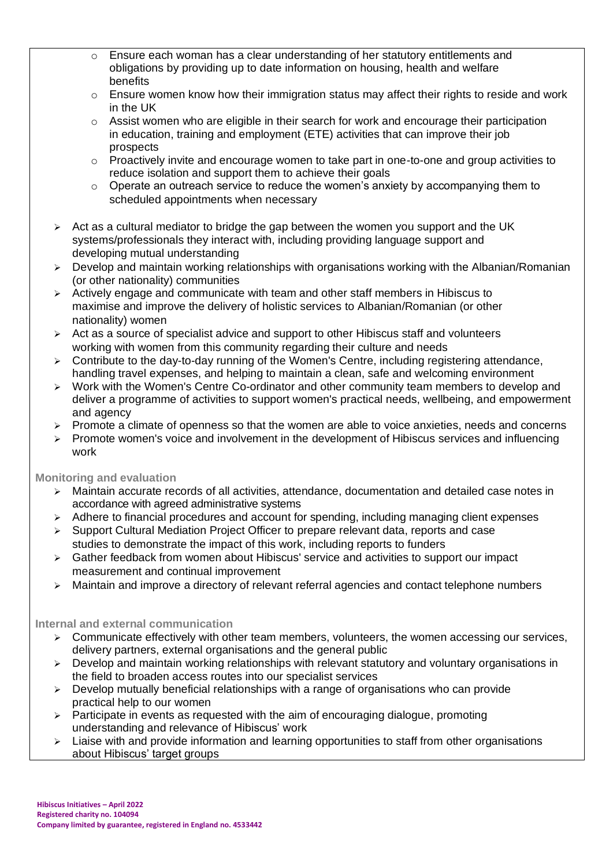- o Ensure each woman has a clear understanding of her statutory entitlements and obligations by providing up to date information on housing, health and welfare benefits
- o Ensure women know how their immigration status may affect their rights to reside and work in the UK
- $\circ$  Assist women who are eligible in their search for work and encourage their participation in education, training and employment (ETE) activities that can improve their job prospects
- $\circ$  Proactively invite and encourage women to take part in one-to-one and group activities to reduce isolation and support them to achieve their goals
- $\circ$  Operate an outreach service to reduce the women's anxiety by accompanying them to scheduled appointments when necessary
- $\triangleright$  Act as a cultural mediator to bridge the gap between the women you support and the UK systems/professionals they interact with, including providing language support and developing mutual understanding
- ➢ Develop and maintain working relationships with organisations working with the Albanian/Romanian (or other nationality) communities
- ➢ Actively engage and communicate with team and other staff members in Hibiscus to maximise and improve the delivery of holistic services to Albanian/Romanian (or other nationality) women
- ➢ Act as a source of specialist advice and support to other Hibiscus staff and volunteers working with women from this community regarding their culture and needs
- $\geq$  Contribute to the day-to-day running of the Women's Centre, including registering attendance, handling travel expenses, and helping to maintain a clean, safe and welcoming environment
- ➢ Work with the Women's Centre Co-ordinator and other community team members to develop and deliver a programme of activities to support women's practical needs, wellbeing, and empowerment and agency
- $\triangleright$  Promote a climate of openness so that the women are able to voice anxieties, needs and concerns
- ➢ Promote women's voice and involvement in the development of Hibiscus services and influencing work

#### **Monitoring and evaluation**

- ➢ Maintain accurate records of all activities, attendance, documentation and detailed case notes in accordance with agreed administrative systems
- ➢ Adhere to financial procedures and account for spending, including managing client expenses
- ➢ Support Cultural Mediation Project Officer to prepare relevant data, reports and case studies to demonstrate the impact of this work, including reports to funders
- ➢ Gather feedback from women about Hibiscus' service and activities to support our impact measurement and continual improvement
- ➢ Maintain and improve a directory of relevant referral agencies and contact telephone numbers

#### **Internal and external communication**

- $\geq$  Communicate effectively with other team members, volunteers, the women accessing our services, delivery partners, external organisations and the general public
- $\triangleright$  Develop and maintain working relationships with relevant statutory and voluntary organisations in the field to broaden access routes into our specialist services
- $\triangleright$  Develop mutually beneficial relationships with a range of organisations who can provide practical help to our women
- $\geq$  Participate in events as requested with the aim of encouraging dialogue, promoting understanding and relevance of Hibiscus' work
- $\geq$  Liaise with and provide information and learning opportunities to staff from other organisations about Hibiscus' target groups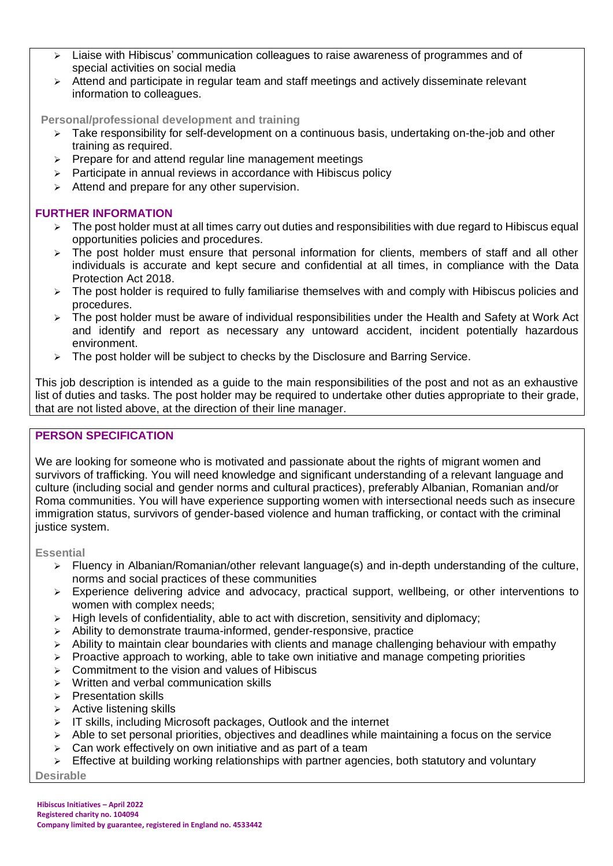- ➢ Liaise with Hibiscus' communication colleagues to raise awareness of programmes and of special activities on social media
- ➢ Attend and participate in regular team and staff meetings and actively disseminate relevant information to colleagues.

**Personal/professional development and training**

- $\triangleright$  Take responsibility for self-development on a continuous basis, undertaking on-the-job and other training as required.
- ➢ Prepare for and attend regular line management meetings
- $\triangleright$  Participate in annual reviews in accordance with Hibiscus policy
- ➢ Attend and prepare for any other supervision.

#### **FURTHER INFORMATION**

- ➢ The post holder must at all times carry out duties and responsibilities with due regard to Hibiscus equal opportunities policies and procedures.
- ➢ The post holder must ensure that personal information for clients, members of staff and all other individuals is accurate and kept secure and confidential at all times, in compliance with the Data Protection Act 2018.
- ➢ The post holder is required to fully familiarise themselves with and comply with Hibiscus policies and procedures.
- ➢ The post holder must be aware of individual responsibilities under the Health and Safety at Work Act and identify and report as necessary any untoward accident, incident potentially hazardous environment.
- $\triangleright$  The post holder will be subject to checks by the Disclosure and Barring Service.

This job description is intended as a guide to the main responsibilities of the post and not as an exhaustive list of duties and tasks. The post holder may be required to undertake other duties appropriate to their grade, that are not listed above, at the direction of their line manager.

### **PERSON SPECIFICATION**

We are looking for someone who is motivated and passionate about the rights of migrant women and survivors of trafficking. You will need knowledge and significant understanding of a relevant language and culture (including social and gender norms and cultural practices), preferably Albanian, Romanian and/or Roma communities. You will have experience supporting women with intersectional needs such as insecure immigration status, survivors of gender-based violence and human trafficking, or contact with the criminal justice system.

**Essential**

- ➢ Fluency in Albanian/Romanian/other relevant language(s) and in-depth understanding of the culture, norms and social practices of these communities
- ➢ Experience delivering advice and advocacy, practical support, wellbeing, or other interventions to women with complex needs;
- High levels of confidentiality, able to act with discretion, sensitivity and diplomacy;
- ➢ Ability to demonstrate trauma-informed, gender-responsive, practice
- $\triangleright$  Ability to maintain clear boundaries with clients and manage challenging behaviour with empathy
- $\triangleright$  Proactive approach to working, able to take own initiative and manage competing priorities
- $\triangleright$  Commitment to the vision and values of Hibiscus
- ➢ Written and verbal communication skills
- ➢ Presentation skills
- ➢ Active listening skills
- ➢ IT skills, including Microsoft packages, Outlook and the internet
- $\triangleright$  Able to set personal priorities, objectives and deadlines while maintaining a focus on the service
- $\triangleright$  Can work effectively on own initiative and as part of a team
- $\triangleright$  Effective at building working relationships with partner agencies, both statutory and voluntary

**Desirable**